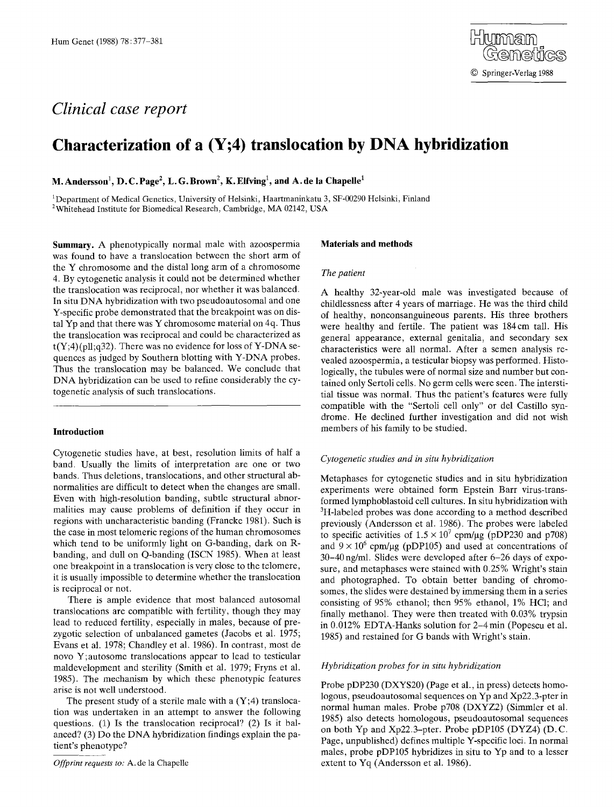# *Clinical case report*

## **Characterization of a (Y;4) translocation by DNA hybridization**

**M. Andersson<sup>1</sup>, D. C. Page<sup>2</sup>, L. G. Brown<sup>2</sup>, K. Elfving<sup>1</sup>, and A. de la Chapelle<sup>1</sup>** 

<sup>1</sup>Department of Medical Genetics, University of Helsinki, Haartmaninkatu 3, SF-00290 Helsinki, Finland <sup>2</sup>Whitehead Institute for Biomedical Research, Cambridge, MA 02142, USA

**Summary.** A phenotypically normal male with azoospermia was found to have a translocation between the short arm of the Y chromosome and the distal long arm of a chromosome 4. By cytogenetic analysis it could not be determined whether the translocation was reciprocal, nor whether it was balanced. In situ DNA hybridization with two pseudoautosomal and one Y-specific probe demonstrated that the breakpoint was on distal Yp and that there was Y chromosome material on 4q. Thus the translocation was reciprocal and could be characterized as  $t(Y;4)(pll;q32)$ . There was no evidence for loss of Y-DNA sequences as judged by Southern blotting with Y-DNA probes. Thus the translocation may be balanced. We conclude that DNA hybridization can be used to refine considerably the cytogenetic analysis of such translocations.

## **Introduction**

Cytogenetic studies have, at best, resolution limits of half a band. Usually the limits of interpretation are one or two bands. Thus deletions, translocations, and other structural abnormalities are difficult to detect when the changes are small. Even with high-resolution banding, subtle structural abnormalities may cause problems of definition if they occur in regions with uncharacteristic banding (Francke 1981). Such is the case in most telomeric regions of the human chromosomes which tend to be uniformly light on G-banding, dark on Rbanding, and dull on Q-banding (ISCN 1985). When at least one breakpoint in a translocation is very close to the telomere, it is usually impossible to determine whether the translocation is reciprocal or not.

There is ample evidence that most balanced autosomal translocations are compatible with fertility, though they may lead to reduced fertility, especially in males, because of prezygotic selection of unbalanced gametes (Jacobs et al. 1975; Evans et al. 1978; Chandley et al. 1986). In contrast, most de novo Y;autosome translocations appear to lead to testicular maldevelopment and sterility (Smith et al. 1979; Fryns et al. 1985). The mechanism by which these phenotypic features arise is not well understood.

The present study of a sterile male with a  $(Y;4)$  translocation was undertaken in an attempt to answer the following questions. (1) Is the translocation reciprocal? (2) Is it balanced? (3) Do the DNA hybridization findings explain the patient's phenotype?

## **Materials and methods**

## *The patient*

A healthy 32-year-old male was investigated because of childlessness after 4 years of marriage. He was the third child of healthy, nonconsanguineous parents. His three brothers were healthy and fertile. The patient was 184cm tall. His general appearance, external genitalia, and secondary sex characteristics were all normal. After a semen analysis revealed azoospermia, a testicular biopsy was performed. Histologically, the tubules were of normal size and number but contained only Sertoli cells. No germ cells were seen. The interstitial tissue was normal. Thus the patient's features were fully compatible with the "Sertoli cell only" or del Castillo syndrome. He declined further investigation and did not wish members of his family to be studied.

## *Cytogenetic studies and in situ hybridization*

Metaphases for cytogenetic studies and in situ hybridization experiments were obtained form Epstein Barr virus-transformed lymphoblastoid cell cultures. In situ hybridization with <sup>3</sup>H-labeled probes was done according to a method described previously (Andersson et al. 1986). The probes were labeled to specific activities of  $1.5 \times 10^7$  cpm/µg (pDP230 and p708) and  $9 \times 10^6$  cpm/ug (pDP105) and used at concentrations of 30-40 ng/ml. Slides were developed after 6-26 days of exposure, and metaphases were stained with 0.25% Wright's stain and photographed. To obtain better banding of chromosomes, the slides were destained by immersing them in a series consisting of 95% ethanol; then 95% ethanol, 1% HC1; and finally methanol. They were then treated with 0.03% trypsin in 0.012% EDTA-Hanks solution for 2-4min (Popescu et al. 1985) and restained for G bands with Wright's stain.

## *Hybridization probes for in situ hybridization*

Probe pDP230 (DXYS20) (Page et al., in press) detects homologous, pseudoautosomal sequences on Yp and Xp22.3-pter in normal human males. Probe p708 (DXYZ2) (Simmler et al. 1985) also detects homologous, pseudoautosomal sequences on both Yp and Xp22.3-pter. Probe pDP105 (DYZ4) (D. C. Page, unpublished) defines multiple Y-specific loci. In normal males, probe pDP105 hybridizes in situ to Yp and to a lesser extent to Yq (Andersson et al. 1986).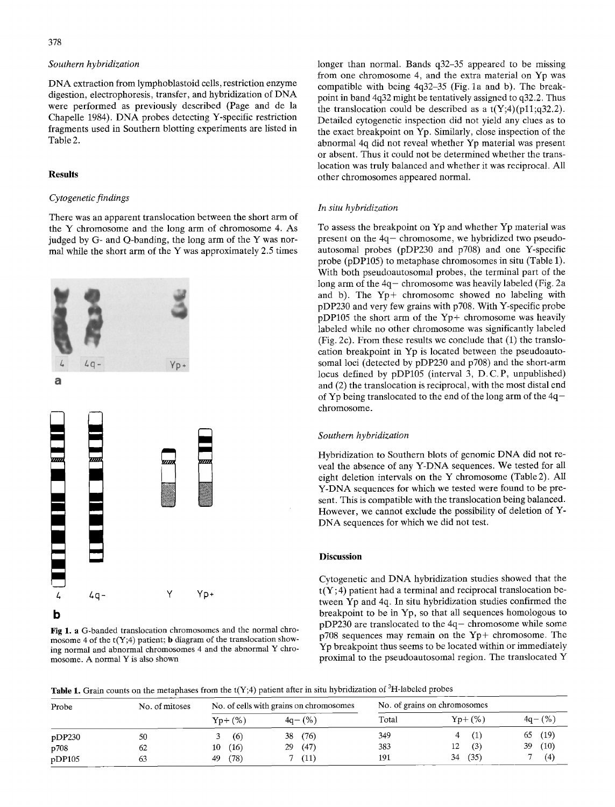## *Southern hybridization*

DNA extraction from lymphoblastoid cells, restriction enzyme digestion, electrophoresis, transfer, and hybridization of DNA were performed as previously described (Page and de la Chapelle 1984). DNA probes detecting Y-specific restriction fragments used in Southern blotting experiments are listed in Table 2.

## **Results**

### *Cytogenetic findings*

There was an apparent translocation between the short arm of the Y chromosome and the long arm of chromosome 4. As judged by G- and Q-banding, the long arm of the Y was normal while the short arm of the Y was approximately 2.5 times



**Fig 1. a** G-banded translocation chromosomes and the normal chromosome 4 of the  $t(Y;4)$  patient; **b** diagram of the translocation showing normal and abnormal chromosomes 4 and the abnormal Y chromosome. A normal Y is also shown

longer than normal. Bands q32-35 appeared to be missing from one chromosome 4, and the extra material on Yp was compatible with being 4q32-35 (Fig. la and b). The breakpoint in band 4q32 might be tentatively assigned to q32.2. Thus the translocation could be described as a  $t(Y;4)(p11;q32.2)$ . Detailed cytogenetic inspection did not yield any clues as to the exact breakpoint on Yp. Similarly, close inspection of the abnormal 4q did not reveal whether Yp material was present or absent. Thus it could not be determined whether the translocation was truly balanced and whether it was reciprocal. All other chromosomes appeared normal.

### *In situ hybridization*

To assess the breakpoint on Yp and whether Yp material was present on the 4q- chromosome, we hybridized two pseudoautosomal probes (pDP230 and p708) and one Y-specific probe (pDP105) to metaphase chromosomes in situ (Table 1). With both pseudoautosomal probes, the terminal part of the long arm of the 4q- chromosome was heavily labeled (Fig. 2a and b). The Yp+ chromosome showed no labeling with pDP230 and very few grains with p708. With Y-specific probe pDP105 the short arm of the Yp+ chromosome was heavily labeled while no other chromosome was significantly labeled (Fig. 2c). From these results we conclude that (1) the translocation breakpoint in Yp is located between the pseudoautosomal loci (detected by pDP230 and p708) and the short-arm locus defined by pDP105 (interval 3, D.C.P, unpublished) and (2) the translocation is reciprocal, with the most distal end of Yp being translocated to the end of the long arm of the 4qchromosome.

### *Southern hybridization*

Hybridization to Southern blots of genomic DNA did not reveal the absence of any Y-DNA sequences. We tested for all eight deletion intervals on the Y chromosome (Table 2). All Y-DNA sequences for which we tested were found to be present. This is compatible with the translocation being balanced. However, we cannot exclude the possibility of deletion of Y-DNA sequences for which we did not test.

### **Discussion**

Cytogenetic and DNA hybridization studies showed that the  $t(Y;4)$  patient had a terminal and reciprocal translocation between Yp and 4q. In situ hybridization studies confirmed the breakpoint to be in Yp, so that all sequences homologous to  $pDP230$  are translocated to the  $4q$ -chromosome while some p708 sequences may remain on the Yp+ chromosome. The Yp breakpoint thus seems to be located within or immediately proximal to the pseudoautosomal region. The translocated Y

Table 1. Grain counts on the metaphases from the  $t(Y;4)$  patient after in situ hybridization of <sup>3</sup>H-labeled probes

| Probe  | No. of mitoses | No. of cells with grains on chromosomes |            | No of grains on chromosomes |             |            |  |
|--------|----------------|-----------------------------------------|------------|-----------------------------|-------------|------------|--|
|        |                | $Yp+(%)$                                | $4a - (%)$ | Total                       | $Yp + (\%)$ | $4q - (%$  |  |
| pDP230 | 50             | (6)                                     | (76)<br>38 | 349                         |             | (19)<br>65 |  |
| p708   | 62             | (16)<br>10                              | (47)<br>29 | 383                         | (3)<br>12   | (10)<br>39 |  |
| pDP105 | 63             | (78)<br>49                              | (11)       | 191                         | (35)<br>34  | (4)        |  |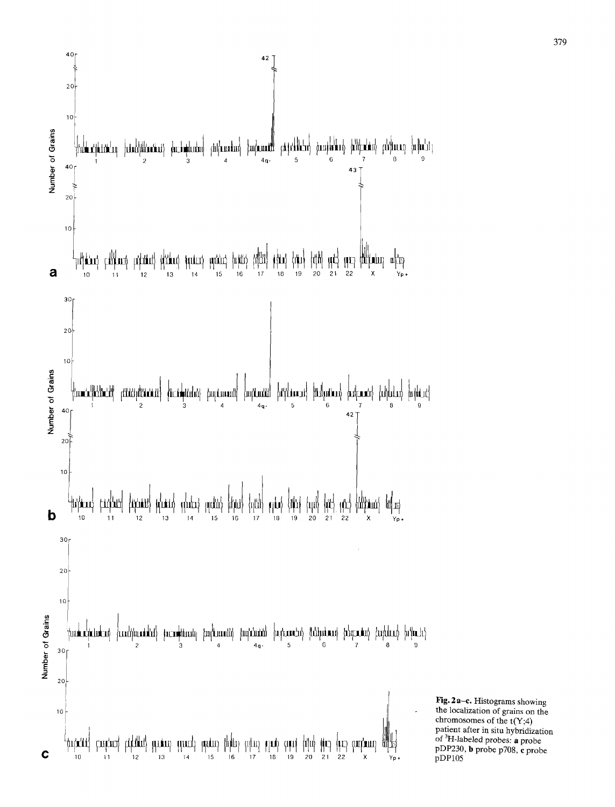

**Fig. 2 a-c. Histograms showing the localization of grains on the chromosomes of the t(Y;4) patient after in situ hybridization of 3H-labeled probes: a probe pDP230, h probe p708, e probe pDP105**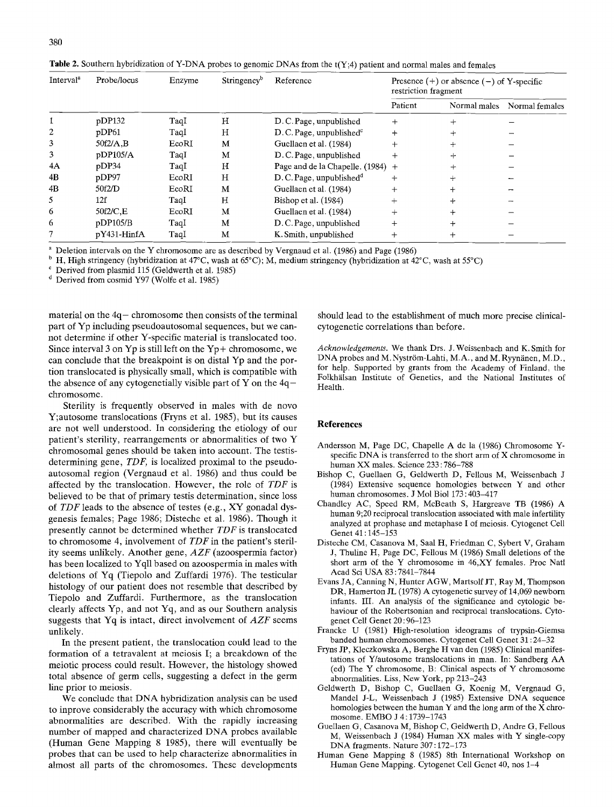| Interval <sup>"</sup> | Probe/locus | Enzyme | Stringency <sup>b</sup> | Reference                           | Presence $(+)$ or absence $(-)$ of Y-specific<br>restriction fragment |              |                |
|-----------------------|-------------|--------|-------------------------|-------------------------------------|-----------------------------------------------------------------------|--------------|----------------|
|                       |             |        |                         |                                     | Patient                                                               | Normal males | Normal females |
|                       | pDP132      | TaqI   | Н                       | D. C. Page, unpublished             | $^{+}$                                                                |              |                |
|                       | pDP61       | TaqI   | н                       | $D.C.Page$ , unpublished $c$        |                                                                       |              |                |
| 3                     | 50f2/A.B    | EcoRI  | M                       | Guellaen et al. (1984)              |                                                                       | ┿            |                |
| 3                     | pDP105/A    | TaqI   | M                       | D.C. Page, unpublished              |                                                                       | ┿            |                |
| 4A                    | DDP34       | TaqI   | н                       | Page and de la Chapelle. $(1984)$ + |                                                                       | ┿            |                |
| 4B                    | pDP97       | EcoRI  | Н                       | D.C. Page, unpublished <sup>d</sup> | $+$                                                                   | $^{+}$       |                |
| 4B                    | 50f2/D      | EcoRI  | M                       | Guellaen et al. (1984)              |                                                                       | ┿            |                |
| 5                     | 12f         | TaqI   | Н                       | Bishop et al. (1984)                |                                                                       | ┿            |                |
| 6                     | 50f2/C,E    | EcoRI  | М                       | Guellaen et al. (1984)              |                                                                       | $^+$         |                |
| 6                     | pDP105/B    | TaqI   | M                       | D.C. Page, unpublished              |                                                                       | $\ddot{}$    |                |
|                       | pY431-HinfA | TaqI   | M                       | K. Smith, unpublished               |                                                                       | $\mathrm{+}$ |                |

**Table** 2. Southern hybridization of Y-DNA probes to genomic DNAs from the t(Y;4) patient and normal males and females

Deletion intervals on the Y chromosome are as described by Vergnaud et al. (1986) and Page (1986)

H, High stringency (hybridization at  $47^{\circ}$ C, wash at  $65^{\circ}$ C); M, medium stringency (hybridization at  $42^{\circ}$ C, wash at  $55^{\circ}$ C)

Derived from plasmid 115 (Geldwerth et al. 1985)

<sup>d</sup> Derived from cosmid Y97 (Wolfe et al. 1985)

material on the  $4q$ - chromosome then consists of the terminal part of Yp including pseudoautosomal sequences, but we cannot determine if other Y-specific material is translocated too. Since interval 3 on  $Yp$  is still left on the  $Yp+$  chromosome, we can conclude that the breakpoint is on distal Yp and the portion translocated is physically small, which is compatible with the absence of any cytogenetially visible part of Y on the  $4q$ chromosome.

Sterility is frequently observed in males with de novo Y;autosome translocations (Fryns ct al. 1985), but its causes are not well understood. In considering the etiology of our patient's sterility, rearrangements or abnormalities of two Y chromosomal genes should be taken into account. The testisdetermining gene, *TDF,* is localized proximal to the pseudoautosomal region (Vergnaud et al. 1986) and thus could be affected by the translocation. However, the role of *TDF* is believed to be that of primary testis determination, since loss of *TDF* leads to the absence of testes (e.g., XY gonadal dysgenesis females; Page 1986; Disteche et al. 1986). Though it presently cannot be determined whether *TDF* is translocated to chromosome 4, involvement of *TDF* in the patient's sterility seems unlikely. Another gene, *AZF* (azoospermia factor) has been localized to Yqll based on azoospermia in males with deletions of Yq (Tiepolo and Zuffardi 1976). The testicular histology of our patient does not resemble that described by Tiepolo and Zuffardi. Furthermore, as the translocation dearly affects Yp, and not Yq, and as our Southern analysis suggests that Yq is intact, direct involvement of *AZF* seems unlikely.

In the present patient, the translocation could lead to the formation of a tetravalent at meiosis I; a breakdown of the meiotic process could result. However, the histology showed total absence of germ cells, suggesting a defect in the germ line prior to meiosis.

We conclude that DNA hybridization analysis can be used to inprove considerably the accuracy with which chromosome abnormalities are described. With the rapidly increasing number of mapped and characterized DNA probes available (Human Gene Mapping 8 1985), there will eventually be probes that can be used to help characterize abnormalities in almost all parts of the chromosomes. These developments

should lead to the establishment of much more precise clinicalcytogenetic correlations than before.

*Acknowledgements.* We thank Drs. J. Weissenbach and K. Smith for DNA probes and M. Nyström-Lahti, M.A., and M. Ryynänen, M.D., for help. Supported by grants from the Academy of Finland, the Folkhälsan Institute of Genetics, and the National Institutes of Health.

#### **References**

- Andersson M, Page DC, Chapelle A de la (1986) Chromosome Yspecific DNA is transferred to the short arm of X chromosome in human XX males. Science 233 : 786-788
- Bishop C, Guellaen G, Geldwerth D, Fellous M, Weissenbach J (1984) Extensive sequence homologies between Y and other human chromosomes. J Mol Biol 173 : 403-417
- Chandley AC, Speed RM, McBeath S, Hargreave TB (1986) A human 9;20 reciprocal translocation associated with male infertility analyzed at prophase and metaphase I of meiosis. Cytogenet Cell Genet 41 : 145-153
- Disteche CM, Casanova M, Saal H, Friedman C, Sybert V, Graham J, Tbuline H, Page DC, Fellous M (1986) Small deletions of the short arm of the Y chromosome in 46,XY females. Proc Natl Acad Sci USA 83 : 7841-7844
- Evans JA, Canning N, Hunter AGW, Martsolf JT, Ray M, Thompson DR, Hamerton JL (1978) A cytogenetic survey of 14,069 newborn infants. III. An analysis of the significance and cytologic behaviour of the Robertsonian and reciprocal translocations. Cytogenet Cell Genet 20 : 96-123
- Francke U (1981) High-resolution ideograms of trypsin-Giemsa banded human chromosomes. Cytogenet Cell Genet 31:24-32
- Fryns JP, Kleczkowska A, Berghe H van den (1985) Clinical manifestations of Y/autosome translocations in man. In: Sandberg AA (ed) The Y chromosome, B: Clinical aspects of Y chromosome abnormalities. Liss, New York, pp 213-243
- Geldwerth D, Bishop C, Guellaen G, Koenig M, Vergnaud G, Mandel J-L, Weissenbach J (1985) Extensive DNA sequence homologies between the human Y and the long arm of the  $\overline{X}$  chromosome. EMBO J 4 : 1739-1743
- Guellaen G, Casanova M, Bishop C, Geldwerth D, Andre G, Fellous M, Weissenbach J (1984) Human XX males with Y single-copy DNA fragments. Nature 307 : 172-173
- Human Gene Mapping 8 (1985) 8th International Workshop on Human Gene Mapping. Cytogenet Cell Genet 40, nos 1-4